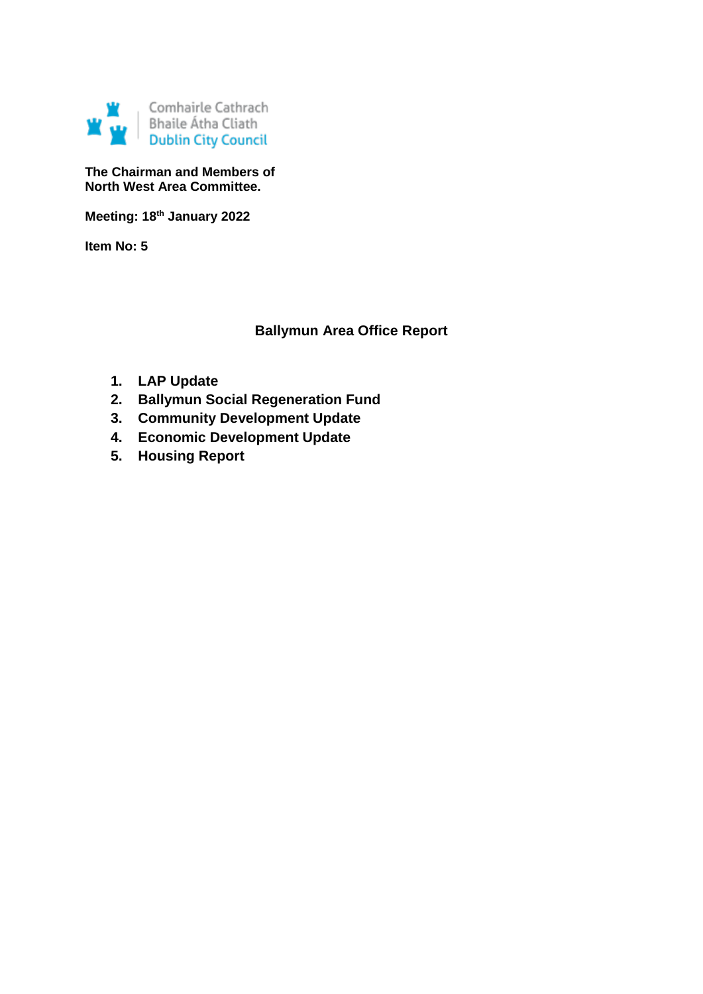

**The Chairman and Members of North West Area Committee.**

**Meeting: 18th January 2022**

**Item No: 5**

# **Ballymun Area Office Report**

- **1. LAP Update**
- **2. Ballymun Social Regeneration Fund**
- **3. Community Development Update**
- **4. Economic Development Update**
- **5. Housing Report**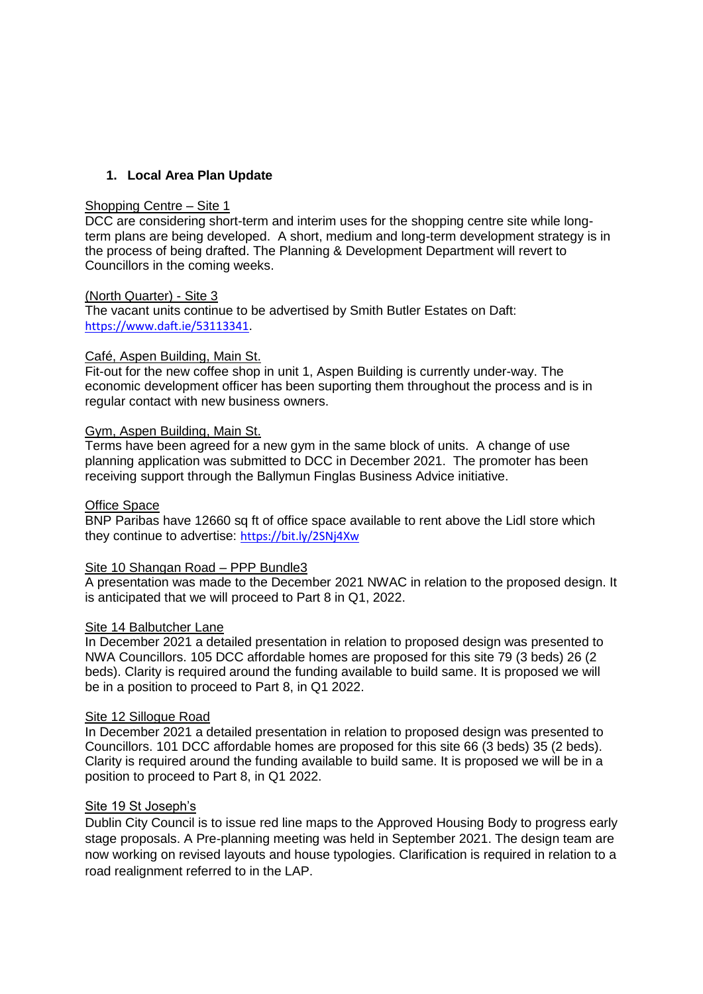## **1. Local Area Plan Update**

### Shopping Centre – Site 1

DCC are considering short-term and interim uses for the shopping centre site while longterm plans are being developed. A short, medium and long-term development strategy is in the process of being drafted. The Planning & Development Department will revert to Councillors in the coming weeks.

#### (North Quarter) - Site 3

The vacant units continue to be advertised by Smith Butler Estates on Daft: <https://www.daft.ie/53113341>.

#### Café, Aspen Building, Main St.

Fit-out for the new coffee shop in unit 1, Aspen Building is currently under-way. The economic development officer has been suporting them throughout the process and is in regular contact with new business owners.

#### Gym, Aspen Building, Main St.

Terms have been agreed for a new gym in the same block of units. A change of use planning application was submitted to DCC in December 2021. The promoter has been receiving support through the Ballymun Finglas Business Advice initiative.

#### Office Space

BNP Paribas have 12660 sq ft of office space available to rent above the Lidl store which they continue to advertise: <https://bit.ly/2SNj4Xw>

#### Site 10 Shangan Road – PPP Bundle3

A presentation was made to the December 2021 NWAC in relation to the proposed design. It is anticipated that we will proceed to Part 8 in Q1, 2022.

#### Site 14 Balbutcher Lane

In December 2021 a detailed presentation in relation to proposed design was presented to NWA Councillors. 105 DCC affordable homes are proposed for this site 79 (3 beds) 26 (2 beds). Clarity is required around the funding available to build same. It is proposed we will be in a position to proceed to Part 8, in Q1 2022.

#### Site 12 Sillogue Road

In December 2021 a detailed presentation in relation to proposed design was presented to Councillors. 101 DCC affordable homes are proposed for this site 66 (3 beds) 35 (2 beds). Clarity is required around the funding available to build same. It is proposed we will be in a position to proceed to Part 8, in Q1 2022.

#### Site 19 St Joseph's

Dublin City Council is to issue red line maps to the Approved Housing Body to progress early stage proposals. A Pre-planning meeting was held in September 2021. The design team are now working on revised layouts and house typologies. Clarification is required in relation to a road realignment referred to in the LAP.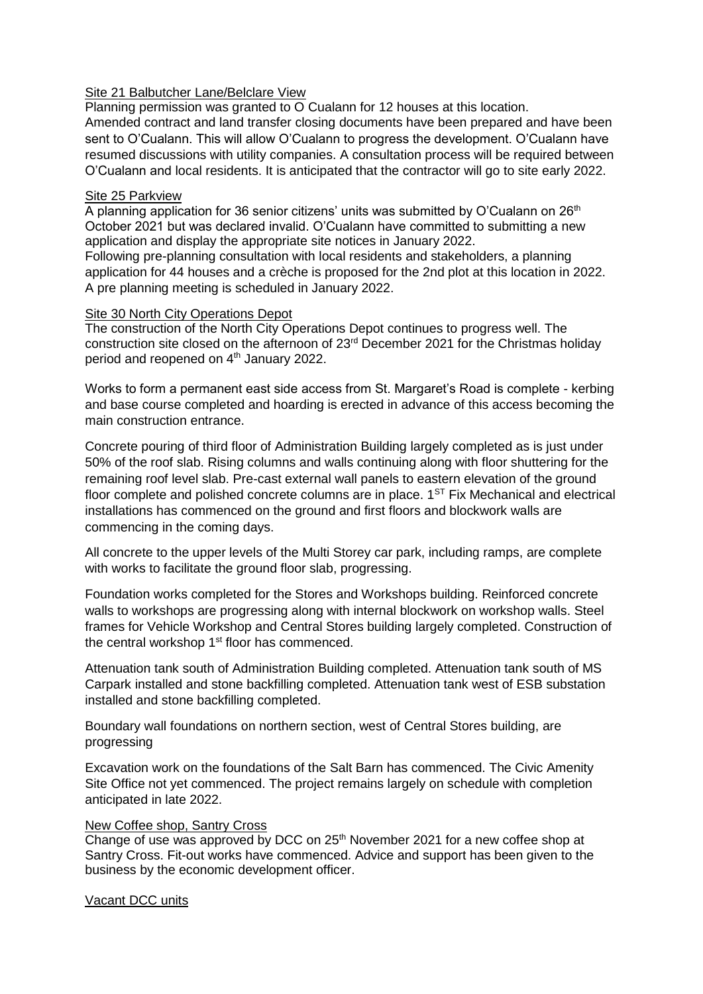#### Site 21 Balbutcher Lane/Belclare View

Planning permission was granted to O Cualann for 12 houses at this location. Amended contract and land transfer closing documents have been prepared and have been sent to O'Cualann. This will allow O'Cualann to progress the development. O'Cualann have resumed discussions with utility companies. A consultation process will be required between O'Cualann and local residents. It is anticipated that the contractor will go to site early 2022.

### Site 25 Parkview

A planning application for 36 senior citizens' units was submitted by O'Cualann on  $26<sup>th</sup>$ October 2021 but was declared invalid. O'Cualann have committed to submitting a new application and display the appropriate site notices in January 2022.

Following pre-planning consultation with local residents and stakeholders, a planning application for 44 houses and a crèche is proposed for the 2nd plot at this location in 2022. A pre planning meeting is scheduled in January 2022.

### Site 30 North City Operations Depot

The construction of the North City Operations Depot continues to progress well. The construction site closed on the afternoon of 23rd December 2021 for the Christmas holiday period and reopened on 4<sup>th</sup> January 2022.

Works to form a permanent east side access from St. Margaret's Road is complete - kerbing and base course completed and hoarding is erected in advance of this access becoming the main construction entrance.

Concrete pouring of third floor of Administration Building largely completed as is just under 50% of the roof slab. Rising columns and walls continuing along with floor shuttering for the remaining roof level slab. Pre-cast external wall panels to eastern elevation of the ground floor complete and polished concrete columns are in place.  $1<sup>ST</sup> Fix Mechanical and electrical$ installations has commenced on the ground and first floors and blockwork walls are commencing in the coming days.

All concrete to the upper levels of the Multi Storey car park, including ramps, are complete with works to facilitate the ground floor slab, progressing.

Foundation works completed for the Stores and Workshops building. Reinforced concrete walls to workshops are progressing along with internal blockwork on workshop walls. Steel frames for Vehicle Workshop and Central Stores building largely completed. Construction of the central workshop 1<sup>st</sup> floor has commenced.

Attenuation tank south of Administration Building completed. Attenuation tank south of MS Carpark installed and stone backfilling completed. Attenuation tank west of ESB substation installed and stone backfilling completed.

Boundary wall foundations on northern section, west of Central Stores building, are progressing

Excavation work on the foundations of the Salt Barn has commenced. The Civic Amenity Site Office not yet commenced. The project remains largely on schedule with completion anticipated in late 2022.

#### New Coffee shop, Santry Cross

Change of use was approved by DCC on  $25<sup>th</sup>$  November 2021 for a new coffee shop at Santry Cross. Fit-out works have commenced. Advice and support has been given to the business by the economic development officer.

## Vacant DCC units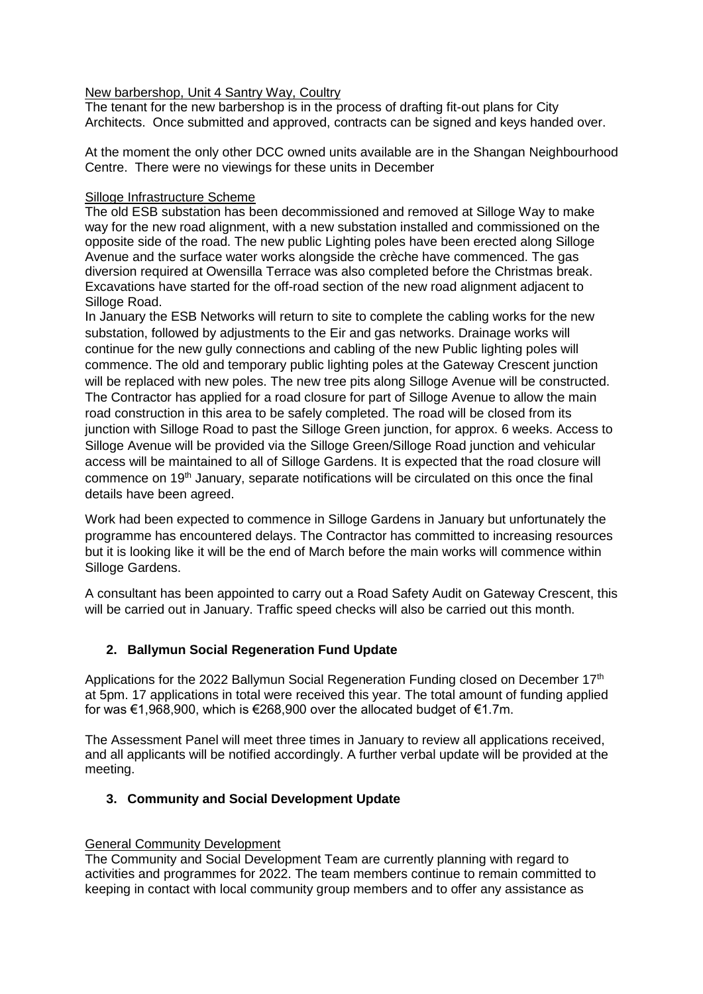### New barbershop, Unit 4 Santry Way, Coultry

The tenant for the new barbershop is in the process of drafting fit-out plans for City Architects. Once submitted and approved, contracts can be signed and keys handed over.

At the moment the only other DCC owned units available are in the Shangan Neighbourhood Centre. There were no viewings for these units in December

### Silloge Infrastructure Scheme

The old ESB substation has been decommissioned and removed at Silloge Way to make way for the new road alignment, with a new substation installed and commissioned on the opposite side of the road. The new public Lighting poles have been erected along Silloge Avenue and the surface water works alongside the crèche have commenced. The gas diversion required at Owensilla Terrace was also completed before the Christmas break. Excavations have started for the off-road section of the new road alignment adjacent to Silloge Road.

In January the ESB Networks will return to site to complete the cabling works for the new substation, followed by adjustments to the Eir and gas networks. Drainage works will continue for the new gully connections and cabling of the new Public lighting poles will commence. The old and temporary public lighting poles at the Gateway Crescent junction will be replaced with new poles. The new tree pits along Silloge Avenue will be constructed. The Contractor has applied for a road closure for part of Silloge Avenue to allow the main road construction in this area to be safely completed. The road will be closed from its junction with Silloge Road to past the Silloge Green junction, for approx. 6 weeks. Access to Silloge Avenue will be provided via the Silloge Green/Silloge Road junction and vehicular access will be maintained to all of Silloge Gardens. It is expected that the road closure will commence on 19<sup>th</sup> January, separate notifications will be circulated on this once the final details have been agreed.

Work had been expected to commence in Silloge Gardens in January but unfortunately the programme has encountered delays. The Contractor has committed to increasing resources but it is looking like it will be the end of March before the main works will commence within Silloge Gardens.

A consultant has been appointed to carry out a Road Safety Audit on Gateway Crescent, this will be carried out in January. Traffic speed checks will also be carried out this month.

## **2. Ballymun Social Regeneration Fund Update**

Applications for the 2022 Ballymun Social Regeneration Funding closed on December 17<sup>th</sup> at 5pm. 17 applications in total were received this year. The total amount of funding applied for was €1,968,900, which is €268,900 over the allocated budget of €1.7m.

The Assessment Panel will meet three times in January to review all applications received, and all applicants will be notified accordingly. A further verbal update will be provided at the meeting.

## **3. Community and Social Development Update**

## General Community Development

The Community and Social Development Team are currently planning with regard to activities and programmes for 2022. The team members continue to remain committed to keeping in contact with local community group members and to offer any assistance as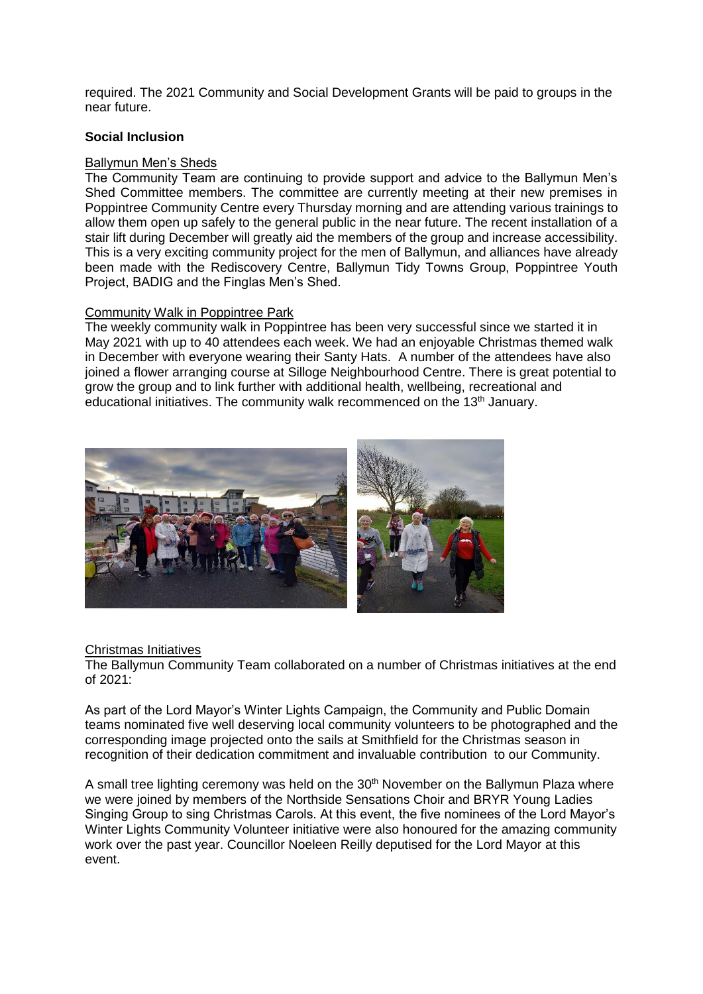required. The 2021 Community and Social Development Grants will be paid to groups in the near future.

### **Social Inclusion**

### Ballymun Men's Sheds

The Community Team are continuing to provide support and advice to the Ballymun Men's Shed Committee members. The committee are currently meeting at their new premises in Poppintree Community Centre every Thursday morning and are attending various trainings to allow them open up safely to the general public in the near future. The recent installation of a stair lift during December will greatly aid the members of the group and increase accessibility. This is a very exciting community project for the men of Ballymun, and alliances have already been made with the Rediscovery Centre, Ballymun Tidy Towns Group, Poppintree Youth Project, BADIG and the Finglas Men's Shed.

## Community Walk in Poppintree Park

The weekly community walk in Poppintree has been very successful since we started it in May 2021 with up to 40 attendees each week. We had an enjoyable Christmas themed walk in December with everyone wearing their Santy Hats. A number of the attendees have also joined a flower arranging course at Silloge Neighbourhood Centre. There is great potential to grow the group and to link further with additional health, wellbeing, recreational and educational initiatives. The community walk recommenced on the 13<sup>th</sup> January.



#### Christmas Initiatives

The Ballymun Community Team collaborated on a number of Christmas initiatives at the end of 2021:

As part of the Lord Mayor's Winter Lights Campaign, the Community and Public Domain teams nominated five well deserving local community volunteers to be photographed and the corresponding image projected onto the sails at Smithfield for the Christmas season in recognition of their dedication commitment and invaluable contribution to our Community.

A small tree lighting ceremony was held on the 30<sup>th</sup> November on the Ballymun Plaza where we were joined by members of the Northside Sensations Choir and BRYR Young Ladies Singing Group to sing Christmas Carols. At this event, the five nominees of the Lord Mayor's Winter Lights Community Volunteer initiative were also honoured for the amazing community work over the past year. Councillor Noeleen Reilly deputised for the Lord Mayor at this event.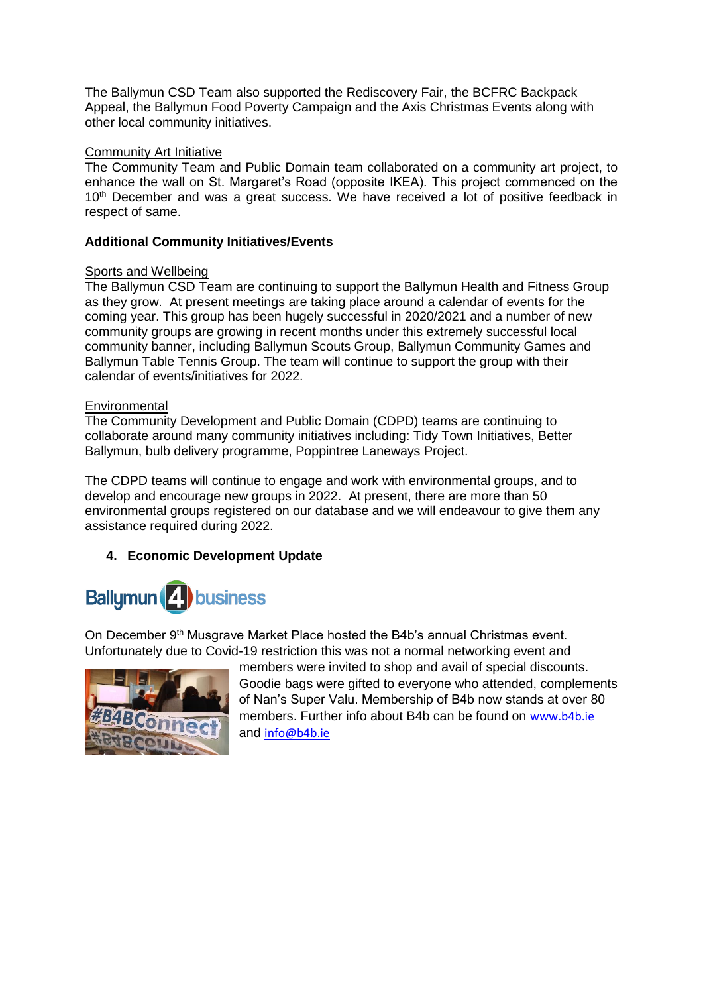The Ballymun CSD Team also supported the Rediscovery Fair, the BCFRC Backpack Appeal, the Ballymun Food Poverty Campaign and the Axis Christmas Events along with other local community initiatives.

## **Community Art Initiative**

The Community Team and Public Domain team collaborated on a community art project, to enhance the wall on St. Margaret's Road (opposite IKEA). This project commenced on the 10<sup>th</sup> December and was a great success. We have received a lot of positive feedback in respect of same.

## **Additional Community Initiatives/Events**

# **Sports and Wellbeing**

The Ballymun CSD Team are continuing to support the Ballymun Health and Fitness Group as they grow. At present meetings are taking place around a calendar of events for the coming year. This group has been hugely successful in 2020/2021 and a number of new community groups are growing in recent months under this extremely successful local community banner, including Ballymun Scouts Group, Ballymun Community Games and Ballymun Table Tennis Group. The team will continue to support the group with their calendar of events/initiatives for 2022.

## **Environmental**

The Community Development and Public Domain (CDPD) teams are continuing to collaborate around many community initiatives including: Tidy Town Initiatives, Better Ballymun, bulb delivery programme, Poppintree Laneways Project.

The CDPD teams will continue to engage and work with environmental groups, and to develop and encourage new groups in 2022. At present, there are more than 50 environmental groups registered on our database and we will endeavour to give them any assistance required during 2022.

# **4. Economic Development Update**



On December 9<sup>th</sup> Musgrave Market Place hosted the B4b's annual Christmas event. Unfortunately due to Covid-19 restriction this was not a normal networking event and



members were invited to shop and avail of special discounts. Goodie bags were gifted to everyone who attended, complements of Nan's Super Valu. Membership of B4b now stands at over 80 members. Further info about B4b can be found on [www.b4b.ie](http://www.b4b.ie/) and [info@b4b.ie](mailto:info@b4b.ie)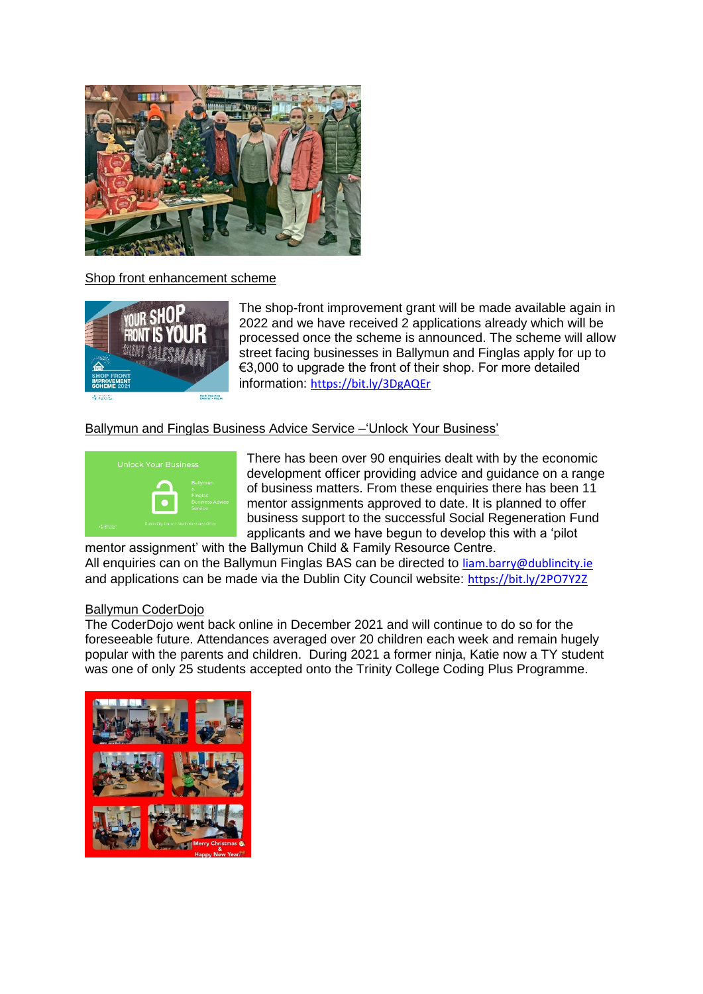

## Shop front enhancement scheme



The shop-front improvement grant will be made available again in 2022 and we have received 2 applications already which will be processed once the scheme is announced. The scheme will allow street facing businesses in Ballymun and Finglas apply for up to €3,000 to upgrade the front of their shop. For more detailed information: <https://bit.ly/3DgAQEr>

## Ballymun and Finglas Business Advice Service –'Unlock Your Business'



There has been over 90 enquiries dealt with by the economic development officer providing advice and guidance on a range of business matters. From these enquiries there has been 11 mentor assignments approved to date. It is planned to offer business support to the successful Social Regeneration Fund applicants and we have begun to develop this with a 'pilot

mentor assignment' with the Ballymun Child & Family Resource Centre. All enquiries can on the Ballymun Finglas BAS can be directed to [liam.barry@dublincity.ie](mailto:liam.barry@dublincity.ie) and applications can be made via the Dublin City Council website: <https://bit.ly/2PO7Y2Z>

#### Ballymun CoderDojo

The CoderDojo went back online in December 2021 and will continue to do so for the foreseeable future. Attendances averaged over 20 children each week and remain hugely popular with the parents and children. During 2021 a former ninja, Katie now a TY student was one of only 25 students accepted onto the Trinity College Coding Plus Programme.

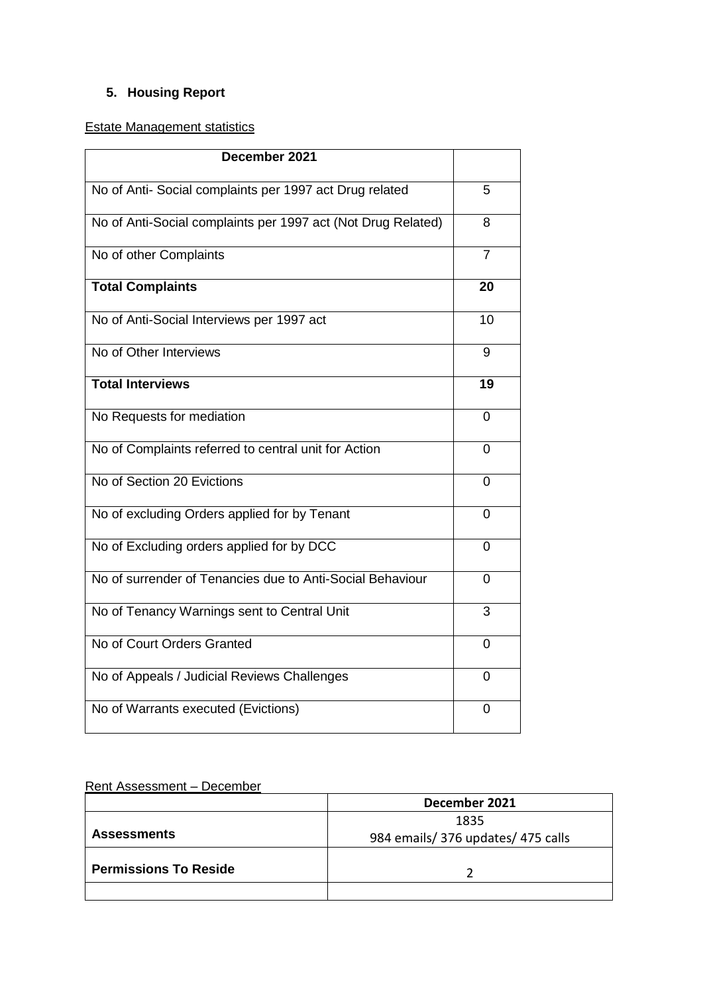# **5. Housing Report**

Estate Management statistics

| December 2021                                                |                |
|--------------------------------------------------------------|----------------|
| No of Anti- Social complaints per 1997 act Drug related      | 5              |
| No of Anti-Social complaints per 1997 act (Not Drug Related) | 8              |
| No of other Complaints                                       | $\overline{7}$ |
| <b>Total Complaints</b>                                      | 20             |
| No of Anti-Social Interviews per 1997 act                    | 10             |
| No of Other Interviews                                       | 9              |
| <b>Total Interviews</b>                                      | 19             |
| No Requests for mediation                                    | 0              |
| No of Complaints referred to central unit for Action         | $\overline{0}$ |
| No of Section 20 Evictions                                   | 0              |
| No of excluding Orders applied for by Tenant                 | 0              |
| No of Excluding orders applied for by DCC                    | 0              |
| No of surrender of Tenancies due to Anti-Social Behaviour    | 0              |
| No of Tenancy Warnings sent to Central Unit                  | 3              |
| No of Court Orders Granted                                   | $\overline{0}$ |
| No of Appeals / Judicial Reviews Challenges                  | 0              |
| No of Warrants executed (Evictions)                          | 0              |

# Rent Assessment – December

|                              | December 2021                    |  |  |
|------------------------------|----------------------------------|--|--|
|                              | 1835                             |  |  |
| <b>Assessments</b>           | 984 emails/376 updates/475 calls |  |  |
|                              |                                  |  |  |
| <b>Permissions To Reside</b> |                                  |  |  |
|                              |                                  |  |  |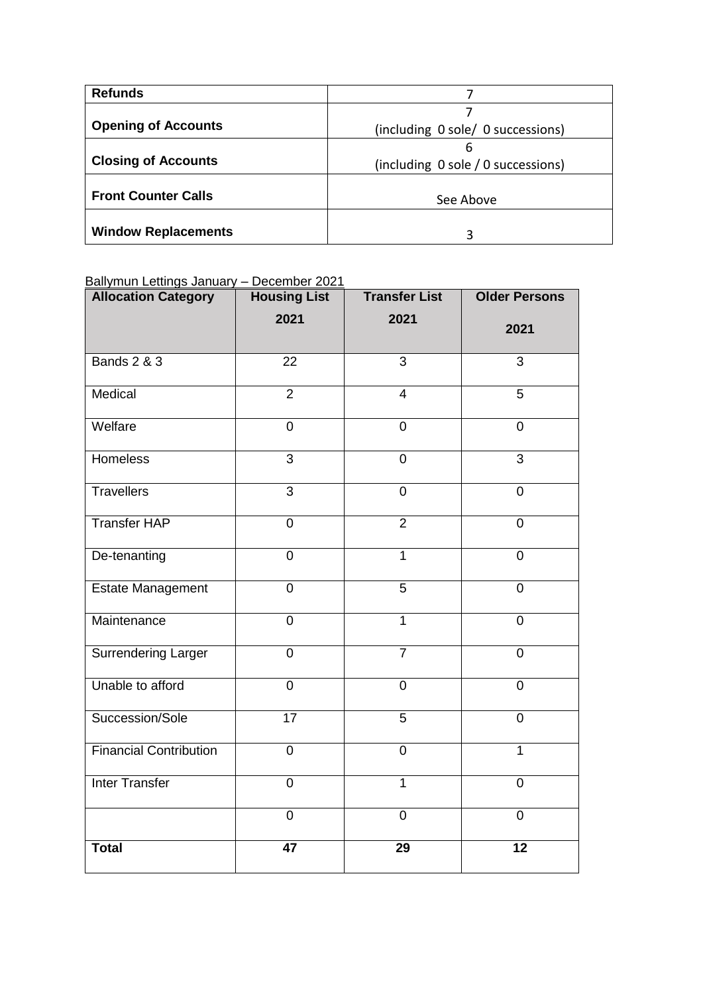| <b>Refunds</b>             |                                    |  |  |
|----------------------------|------------------------------------|--|--|
|                            |                                    |  |  |
| <b>Opening of Accounts</b> | (including 0 sole/ 0 successions)  |  |  |
|                            | 6                                  |  |  |
| <b>Closing of Accounts</b> | (including 0 sole / 0 successions) |  |  |
| <b>Front Counter Calls</b> | See Above                          |  |  |
| <b>Window Replacements</b> | 3                                  |  |  |

## Ballymun Lettings January – December 2021

| <b>Allocation Category</b>    | <b>Housing List</b> | <b>Transfer List</b> | <b>Older Persons</b> |
|-------------------------------|---------------------|----------------------|----------------------|
|                               | 2021                | 2021                 | 2021                 |
| <b>Bands 2 &amp; 3</b>        | $\overline{22}$     | $\overline{3}$       | $\overline{3}$       |
| Medical                       | $\overline{2}$      | $\overline{4}$       | $\overline{5}$       |
| Welfare                       | $\mathbf 0$         | $\pmb{0}$            | $\mathbf 0$          |
| <b>Homeless</b>               | $\overline{3}$      | $\mathbf 0$          | $\overline{3}$       |
| <b>Travellers</b>             | $\overline{3}$      | $\overline{0}$       | $\overline{0}$       |
| <b>Transfer HAP</b>           | $\mathbf 0$         | $\overline{2}$       | $\overline{0}$       |
| De-tenanting                  | $\mathbf 0$         | $\overline{1}$       | $\overline{0}$       |
| <b>Estate Management</b>      | $\overline{0}$      | 5                    | $\overline{0}$       |
| Maintenance                   | $\mathbf 0$         | $\mathbf{1}$         | $\overline{0}$       |
| <b>Surrendering Larger</b>    | $\overline{0}$      | $\overline{7}$       | $\overline{0}$       |
| Unable to afford              | $\overline{0}$      | $\mathbf 0$          | $\overline{0}$       |
| Succession/Sole               | $\overline{17}$     | $\overline{5}$       | $\overline{0}$       |
| <b>Financial Contribution</b> | $\mathbf 0$         | $\mathsf 0$          | $\overline{1}$       |
| <b>Inter Transfer</b>         | $\overline{0}$      | $\overline{1}$       | $\overline{0}$       |
|                               | $\overline{0}$      | $\overline{0}$       | $\overline{0}$       |
| <b>Total</b>                  | $\overline{47}$     | $\overline{29}$      | $\overline{12}$      |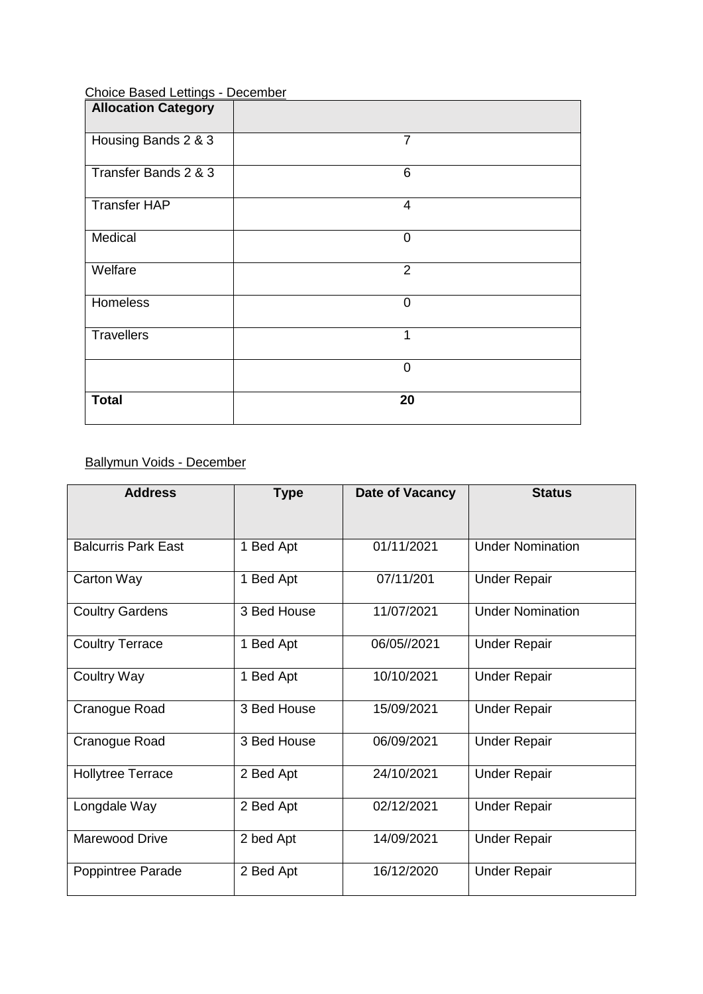| <b>Allocation Category</b> |                |
|----------------------------|----------------|
| Housing Bands 2 & 3        | $\overline{7}$ |
| Transfer Bands 2 & 3       | 6              |
| <b>Transfer HAP</b>        | $\overline{4}$ |
| Medical                    | $\overline{0}$ |
| Welfare                    | $\overline{2}$ |
| Homeless                   | $\mathbf 0$    |
| <b>Travellers</b>          | 1              |
|                            | $\overline{0}$ |
| <b>Total</b>               | 20             |

# Choice Based Lettings - December

# Ballymun Voids - December

| <b>Address</b>             | <b>Type</b> | Date of Vacancy | <b>Status</b>           |
|----------------------------|-------------|-----------------|-------------------------|
|                            |             |                 |                         |
| <b>Balcurris Park East</b> | 1 Bed Apt   | 01/11/2021      | <b>Under Nomination</b> |
| Carton Way                 | 1 Bed Apt   | 07/11/201       | <b>Under Repair</b>     |
| <b>Coultry Gardens</b>     | 3 Bed House | 11/07/2021      | <b>Under Nomination</b> |
| <b>Coultry Terrace</b>     | 1 Bed Apt   | 06/05//2021     | <b>Under Repair</b>     |
| <b>Coultry Way</b>         | 1 Bed Apt   | 10/10/2021      | <b>Under Repair</b>     |
| Cranogue Road              | 3 Bed House | 15/09/2021      | <b>Under Repair</b>     |
| Cranogue Road              | 3 Bed House | 06/09/2021      | <b>Under Repair</b>     |
| <b>Hollytree Terrace</b>   | 2 Bed Apt   | 24/10/2021      | <b>Under Repair</b>     |
| Longdale Way               | 2 Bed Apt   | 02/12/2021      | <b>Under Repair</b>     |
| Marewood Drive             | 2 bed Apt   | 14/09/2021      | <b>Under Repair</b>     |
| Poppintree Parade          | 2 Bed Apt   | 16/12/2020      | <b>Under Repair</b>     |